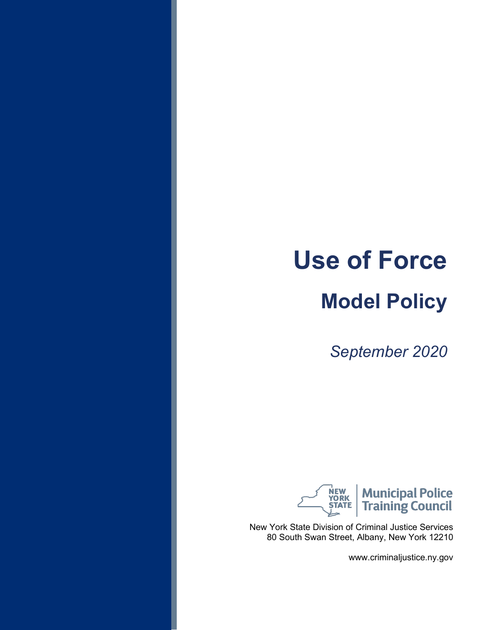# **Use of Force**

## **Model Policy**

*September 2020*



New York State Division of Criminal Justice Services 80 South Swan Street, Albany, New York 12210

www.criminaljustice.ny.gov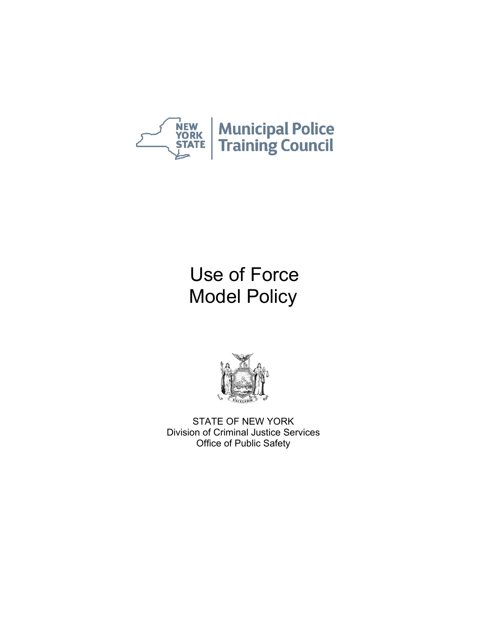



STATE OF NEW YORK Division of Criminal Justice Services Office of Public Safety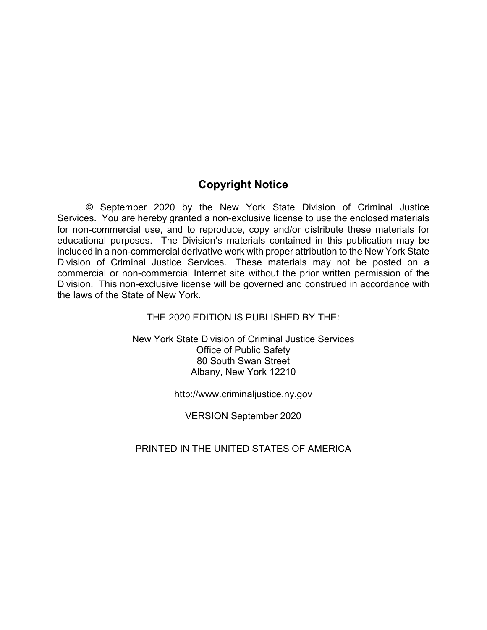### **Copyright Notice**

© September 2020 by the New York State Division of Criminal Justice Services. You are hereby granted a non-exclusive license to use the enclosed materials for non-commercial use, and to reproduce, copy and/or distribute these materials for educational purposes. The Division's materials contained in this publication may be included in a non-commercial derivative work with proper attribution to the New York State Division of Criminal Justice Services. These materials may not be posted on a commercial or non-commercial Internet site without the prior written permission of the Division. This non-exclusive license will be governed and construed in accordance with the laws of the State of New York.

THE 2020 EDITION IS PUBLISHED BY THE:

New York State Division of Criminal Justice Services Office of Public Safety 80 South Swan Street Albany, New York 12210

http://www.criminaljustice.ny.gov

VERSION September 2020

#### PRINTED IN THE UNITED STATES OF AMERICA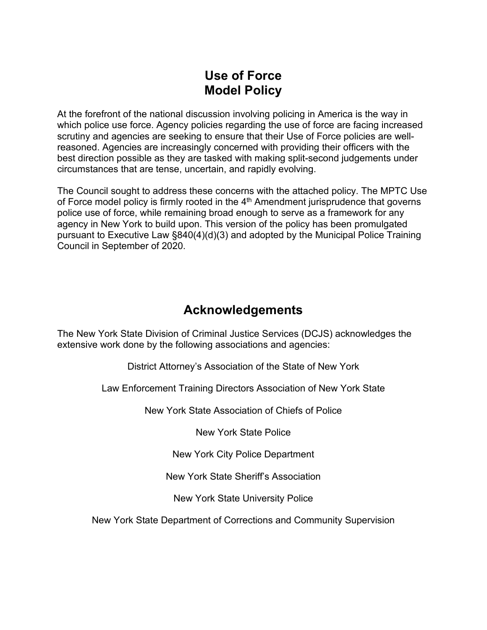At the forefront of the national discussion involving policing in America is the way in which police use force. Agency policies regarding the use of force are facing increased scrutiny and agencies are seeking to ensure that their Use of Force policies are wellreasoned. Agencies are increasingly concerned with providing their officers with the best direction possible as they are tasked with making split-second judgements under circumstances that are tense, uncertain, and rapidly evolving.

The Council sought to address these concerns with the attached policy. The MPTC Use of Force model policy is firmly rooted in the  $4<sup>th</sup>$  Amendment jurisprudence that governs police use of force, while remaining broad enough to serve as a framework for any agency in New York to build upon. This version of the policy has been promulgated pursuant to Executive Law §840(4)(d)(3) and adopted by the Municipal Police Training Council in September of 2020.

### **Acknowledgements**

The New York State Division of Criminal Justice Services (DCJS) acknowledges the extensive work done by the following associations and agencies:

District Attorney's Association of the State of New York

Law Enforcement Training Directors Association of New York State

New York State Association of Chiefs of Police

New York State Police

New York City Police Department

New York State Sheriff's Association

New York State University Police

New York State Department of Corrections and Community Supervision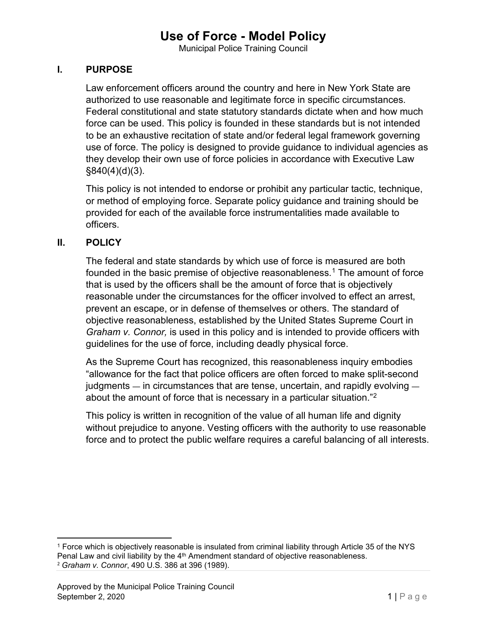Municipal Police Training Council

#### **I. PURPOSE**

Law enforcement officers around the country and here in New York State are authorized to use reasonable and legitimate force in specific circumstances. Federal constitutional and state statutory standards dictate when and how much force can be used. This policy is founded in these standards but is not intended to be an exhaustive recitation of state and/or federal legal framework governing use of force. The policy is designed to provide guidance to individual agencies as they develop their own use of force policies in accordance with Executive Law §840(4)(d)(3).

This policy is not intended to endorse or prohibit any particular tactic, technique, or method of employing force. Separate policy guidance and training should be provided for each of the available force instrumentalities made available to officers.

#### **II. POLICY**

The federal and state standards by which use of force is measured are both founded in the basic premise of objective reasonableness.<sup>[1](#page-4-0)</sup> The amount of force that is used by the officers shall be the amount of force that is objectively reasonable under the circumstances for the officer involved to effect an arrest, prevent an escape, or in defense of themselves or others. The standard of objective reasonableness, established by the United States Supreme Court in *Graham v. Connor,* is used in this policy and is intended to provide officers with guidelines for the use of force, including deadly physical force.

As the Supreme Court has recognized, this reasonableness inquiry embodies "allowance for the fact that police officers are often forced to make split-second judgments — in circumstances that are tense, uncertain, and rapidly evolving about the amount of force that is necessary in a particular situation.["2](#page-4-1)

This policy is written in recognition of the value of all human life and dignity without prejudice to anyone. Vesting officers with the authority to use reasonable force and to protect the public welfare requires a careful balancing of all interests.

<span id="page-4-1"></span><span id="page-4-0"></span><sup>1</sup> Force which is objectively reasonable is insulated from criminal liability through Article 35 of the NYS Penal Law and civil liability by the  $4<sup>th</sup>$  Amendment standard of objective reasonableness. <sup>2</sup> *Graham v. Connor*, 490 U.S. 386 at 396 (1989).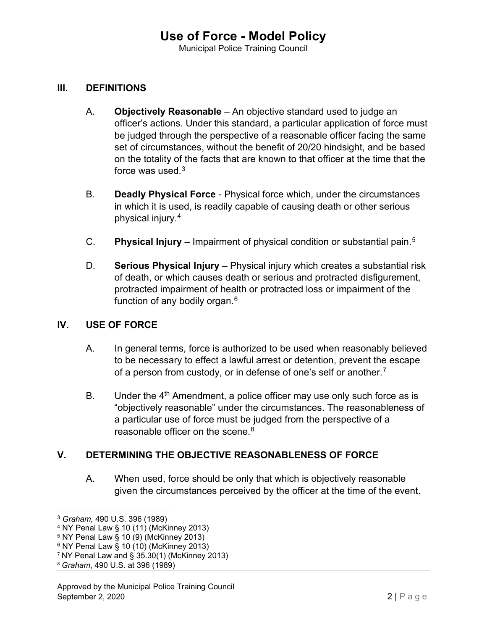#### **III. DEFINITIONS**

- A. **Objectively Reasonable** An objective standard used to judge an officer's actions. Under this standard, a particular application of force must be judged through the perspective of a reasonable officer facing the same set of circumstances, without the benefit of 20/20 hindsight, and be based on the totality of the facts that are known to that officer at the time that the force was used. $^3$  $^3$
- B. **Deadly Physical Force** Physical force which, under the circumstances in which it is used, is readily capable of causing death or other serious physical injury.[4](#page-5-1)
- C. **Physical Injury** Impairment of physical condition or substantial pain.[5](#page-5-2)
- D. **Serious Physical Injury** Physical injury which creates a substantial risk of death, or which causes death or serious and protracted disfigurement, protracted impairment of health or protracted loss or impairment of the function of any bodily organ.[6](#page-5-3)

#### **IV. USE OF FORCE**

- A. In general terms, force is authorized to be used when reasonably believed to be necessary to effect a lawful arrest or detention, prevent the escape of a person from custody, or in defense of one's self or another.<sup>7</sup>
- B. Under the  $4<sup>th</sup>$  Amendment, a police officer may use only such force as is "objectively reasonable" under the circumstances. The reasonableness of a particular use of force must be judged from the perspective of a reasonable officer on the scene.<sup>[8](#page-5-5)</sup>

#### **V. DETERMINING THE OBJECTIVE REASONABLENESS OF FORCE**

A. When used, force should be only that which is objectively reasonable given the circumstances perceived by the officer at the time of the event.

<span id="page-5-0"></span><sup>3</sup> *Graham,* 490 U.S. 396 (1989)

<span id="page-5-1"></span><sup>4</sup> NY Penal Law § 10 (11) (McKinney 2013)

<span id="page-5-2"></span><sup>5</sup> NY Penal Law § 10 (9) (McKinney 2013)

<span id="page-5-3"></span> $^6$  NY Penal Law  $\S$  10 (10) (McKinney 2013)

<span id="page-5-4"></span><sup>7</sup> NY Penal Law and § 35.30(1) (McKinney 2013)

<span id="page-5-5"></span><sup>8</sup> *Graham*, 490 U.S. at 396 (1989)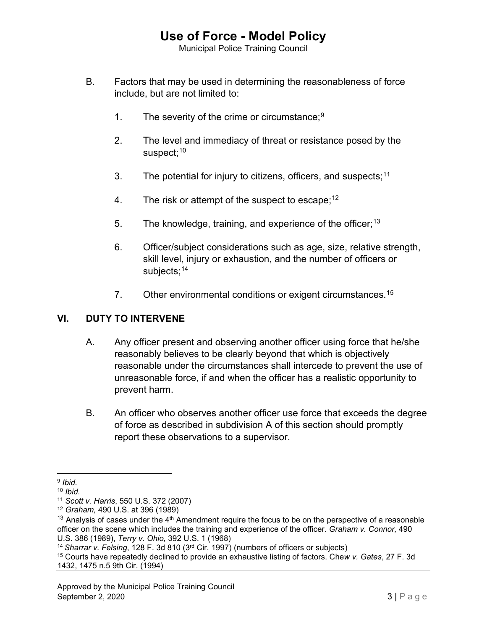Municipal Police Training Council

- B. Factors that may be used in determining the reasonableness of force include, but are not limited to:
	- 1. The severity of the crime or circumstance;<sup>[9](#page-6-0)</sup>
	- 2. The level and immediacy of threat or resistance posed by the suspect:<sup>[10](#page-6-1)</sup>
	- 3. The potential for injury to citizens, officers, and suspects; $11$
	- 4. The risk or attempt of the suspect to escape;  $12$
	- 5. The knowledge, training, and experience of the officer;  $13$
	- 6. Officer/subject considerations such as age, size, relative strength, skill level, injury or exhaustion, and the number of officers or subjects:<sup>[14](#page-6-5)</sup>
	- 7. Other environmental conditions or exigent circumstances.<sup>[15](#page-6-6)</sup>

#### **VI. DUTY TO INTERVENE**

- A. Any officer present and observing another officer using force that he/she reasonably believes to be clearly beyond that which is objectively reasonable under the circumstances shall intercede to prevent the use of unreasonable force, if and when the officer has a realistic opportunity to prevent harm.
- B. An officer who observes another officer use force that exceeds the degree of force as described in subdivision A of this section should promptly report these observations to a supervisor.

<span id="page-6-0"></span><sup>9</sup> *Ibid.* 

<span id="page-6-1"></span><sup>10</sup> *Ibid.*

<span id="page-6-2"></span><sup>11</sup> *Scott v. Harris*, 550 U.S. 372 (2007)

<span id="page-6-3"></span><sup>12</sup> *Graham,* 490 U.S. at 396 (1989)

<span id="page-6-4"></span><sup>&</sup>lt;sup>13</sup> Analysis of cases under the  $4<sup>th</sup>$  Amendment require the focus to be on the perspective of a reasonable officer on the scene which includes the training and experience of the officer. *Graham v. Connor,* 490 U.S. 386 (1989), *Terry v. Ohio,* 392 U.S. 1 (1968)

<span id="page-6-5"></span><sup>14</sup>*Sharrar v. Felsing*, 128 F. 3d 810 (3rd Cir. 1997) (numbers of officers or subjects)

<span id="page-6-6"></span><sup>15</sup> Courts have repeatedly declined to provide an exhaustive listing of factors. Che*w v. Gates*, 27 F. 3d 1432, 1475 n.5 9th Cir. (1994)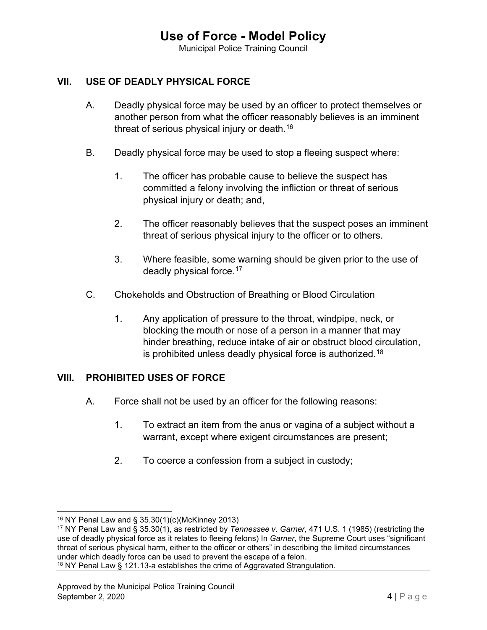Municipal Police Training Council

#### **VII. USE OF DEADLY PHYSICAL FORCE**

- A. Deadly physical force may be used by an officer to protect themselves or another person from what the officer reasonably believes is an imminent threat of serious physical injury or death.<sup>[16](#page-7-0)</sup>
- B. Deadly physical force may be used to stop a fleeing suspect where:
	- 1. The officer has probable cause to believe the suspect has committed a felony involving the infliction or threat of serious physical injury or death; and,
	- 2. The officer reasonably believes that the suspect poses an imminent threat of serious physical injury to the officer or to others.
	- 3. Where feasible, some warning should be given prior to the use of deadly physical force.[17](#page-7-1)
- C. Chokeholds and Obstruction of Breathing or Blood Circulation
	- 1. Any application of pressure to the throat, windpipe, neck, or blocking the mouth or nose of a person in a manner that may hinder breathing, reduce intake of air or obstruct blood circulation, is prohibited unless deadly physical force is authorized. $^{\rm 18}$  $^{\rm 18}$  $^{\rm 18}$

#### **VIII. PROHIBITED USES OF FORCE**

- A. Force shall not be used by an officer for the following reasons:
	- 1. To extract an item from the anus or vagina of a subject without a warrant, except where exigent circumstances are present;
	- 2. To coerce a confession from a subject in custody;

<span id="page-7-0"></span><sup>16</sup> NY Penal Law and § 35.30(1)(c)(McKinney 2013)

<span id="page-7-1"></span><sup>17</sup> NY Penal Law and § 35.30(1), as restricted by *Tennessee v. Garner*, 471 U.S. 1 (1985) (restricting the use of deadly physical force as it relates to fleeing felons) In *Garner*, the Supreme Court uses "significant threat of serious physical harm, either to the officer or others" in describing the limited circumstances under which deadly force can be used to prevent the escape of a felon.

<span id="page-7-2"></span><sup>&</sup>lt;sup>18</sup> NY Penal Law § 121.13-a establishes the crime of Aggravated Strangulation.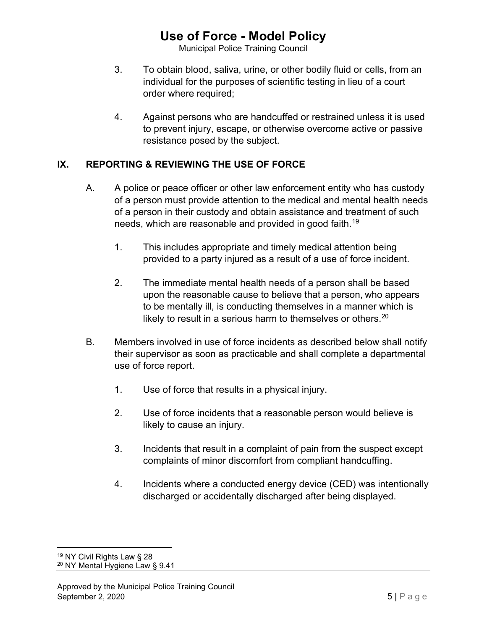Municipal Police Training Council

- 3. To obtain blood, saliva, urine, or other bodily fluid or cells, from an individual for the purposes of scientific testing in lieu of a court order where required;
- 4. Against persons who are handcuffed or restrained unless it is used to prevent injury, escape, or otherwise overcome active or passive resistance posed by the subject.

#### **IX. REPORTING & REVIEWING THE USE OF FORCE**

- A. A police or peace officer or other law enforcement entity who has custody of a person must provide attention to the medical and mental health needs of a person in their custody and obtain assistance and treatment of such needs, which are reasonable and provided in good faith.<sup>[19](#page-8-0)</sup>
	- 1. This includes appropriate and timely medical attention being provided to a party injured as a result of a use of force incident.
	- 2. The immediate mental health needs of a person shall be based upon the reasonable cause to believe that a person, who appears to be mentally ill, is conducting themselves in a manner which is likely to result in a serious harm to themselves or others. $20$
- B. Members involved in use of force incidents as described below shall notify their supervisor as soon as practicable and shall complete a departmental use of force report.
	- 1. Use of force that results in a physical injury.
	- 2. Use of force incidents that a reasonable person would believe is likely to cause an injury.
	- 3. Incidents that result in a complaint of pain from the suspect except complaints of minor discomfort from compliant handcuffing.
	- 4. Incidents where a conducted energy device (CED) was intentionally discharged or accidentally discharged after being displayed.

<span id="page-8-0"></span><sup>&</sup>lt;sup>19</sup> NY Civil Rights Law § 28

<span id="page-8-1"></span><sup>20</sup> NY Mental Hygiene Law § 9.41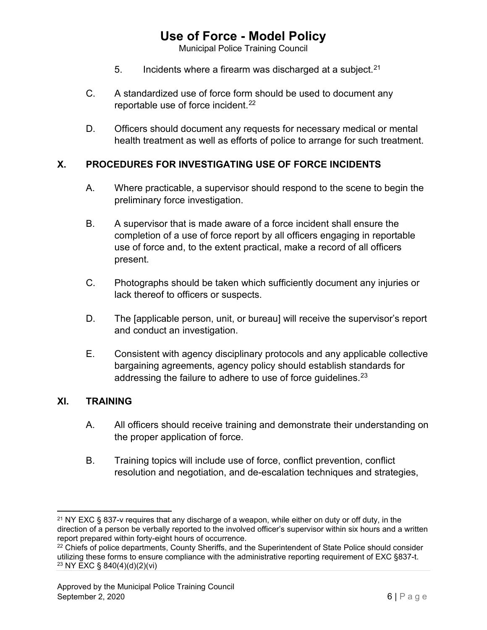Municipal Police Training Council

- 5. Incidents where a firearm was discharged at a subject.  $21$
- C. A standardized use of force form should be used to document any reportable use of force incident.<sup>[22](#page-9-1)</sup>
- D. Officers should document any requests for necessary medical or mental health treatment as well as efforts of police to arrange for such treatment.

#### **X. PROCEDURES FOR INVESTIGATING USE OF FORCE INCIDENTS**

- A. Where practicable, a supervisor should respond to the scene to begin the preliminary force investigation.
- B. A supervisor that is made aware of a force incident shall ensure the completion of a use of force report by all officers engaging in reportable use of force and, to the extent practical, make a record of all officers present.
- C. Photographs should be taken which sufficiently document any injuries or lack thereof to officers or suspects.
- D. The [applicable person, unit, or bureau] will receive the supervisor's report and conduct an investigation.
- E. Consistent with agency disciplinary protocols and any applicable collective bargaining agreements, agency policy should establish standards for addressing the failure to adhere to use of force guidelines.<sup>23</sup>

#### **XI. TRAINING**

- A. All officers should receive training and demonstrate their understanding on the proper application of force.
- B. Training topics will include use of force, conflict prevention, conflict resolution and negotiation, and de-escalation techniques and strategies,

<span id="page-9-0"></span><sup>&</sup>lt;sup>21</sup> NY EXC § 837-v requires that any discharge of a weapon, while either on duty or off duty, in the direction of a person be verbally reported to the involved officer's supervisor within six hours and a written report prepared within forty-eight hours of occurrence.

<span id="page-9-2"></span><span id="page-9-1"></span><sup>&</sup>lt;sup>22</sup> Chiefs of police departments, County Sheriffs, and the Superintendent of State Police should consider utilizing these forms to ensure compliance with the administrative reporting requirement of EXC §837-t. <sup>23</sup> NY EXC § 840(4)(d)(2)(vi)